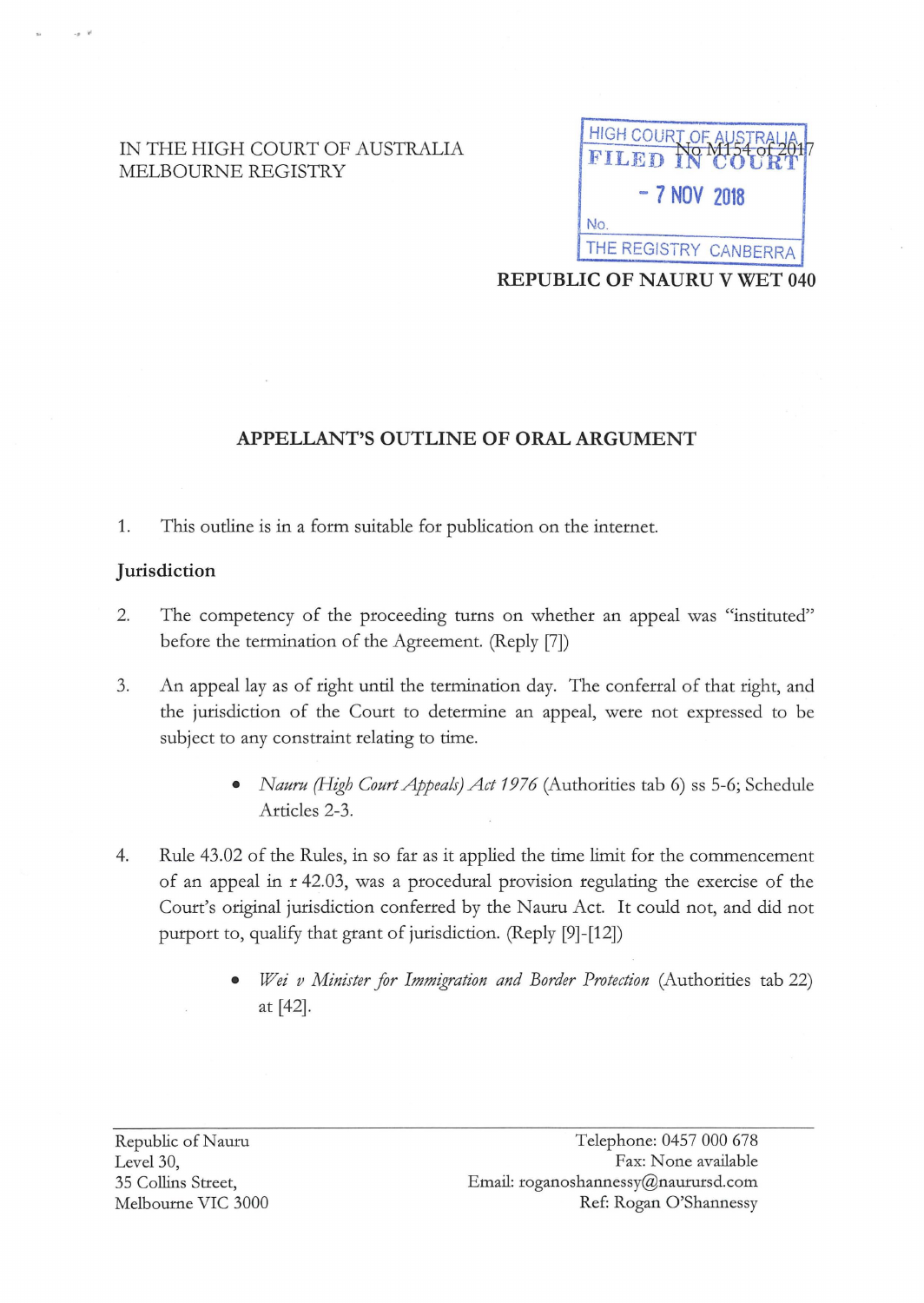## IN THE HIGH COURT OF AUSTRALIA MELBOURNE REGISTRY



**REPUBLIC OF NAURU V WET 040** 

# **APPELLANT'S OUTLINE OF ORAL ARGUMENT**

1. This outline is in a form suitable for publication on the internet.

#### **Jurisdiction**

-· .

- 2. The competency of the proceeding turns on whether an appeal was "instituted" before the termination of the Agreement. (Reply [7])
- 3. An appeal lay as of right until the termination day. The conferral of that right, and the jurisdiction of the Court to determine an appeal, were not expressed to be subject to any constraint relating to time.
	- *Nauru (High Court Appeals) Act 19 7 6* (Authorities tab 6) ss 5-6; Schedule Articles 2-3.
- 4. Rule 43.02 of the Rules, in so far as it applied the time limit for the commencement of an appeal in r 42.03, was a procedural provision regulating the exercise of the Court's original jurisdiction conferred by the Nauru Act. It could not, and did not purport to, qualify that grant of jurisdiction. (Reply [9]-[12])
	- *Wei v Minister for Immigration and Border Protedion* (Authorities tab 22) at [42].

Republic of Nauru Level 30, 35 Collins Street, Melbourne VIC 3000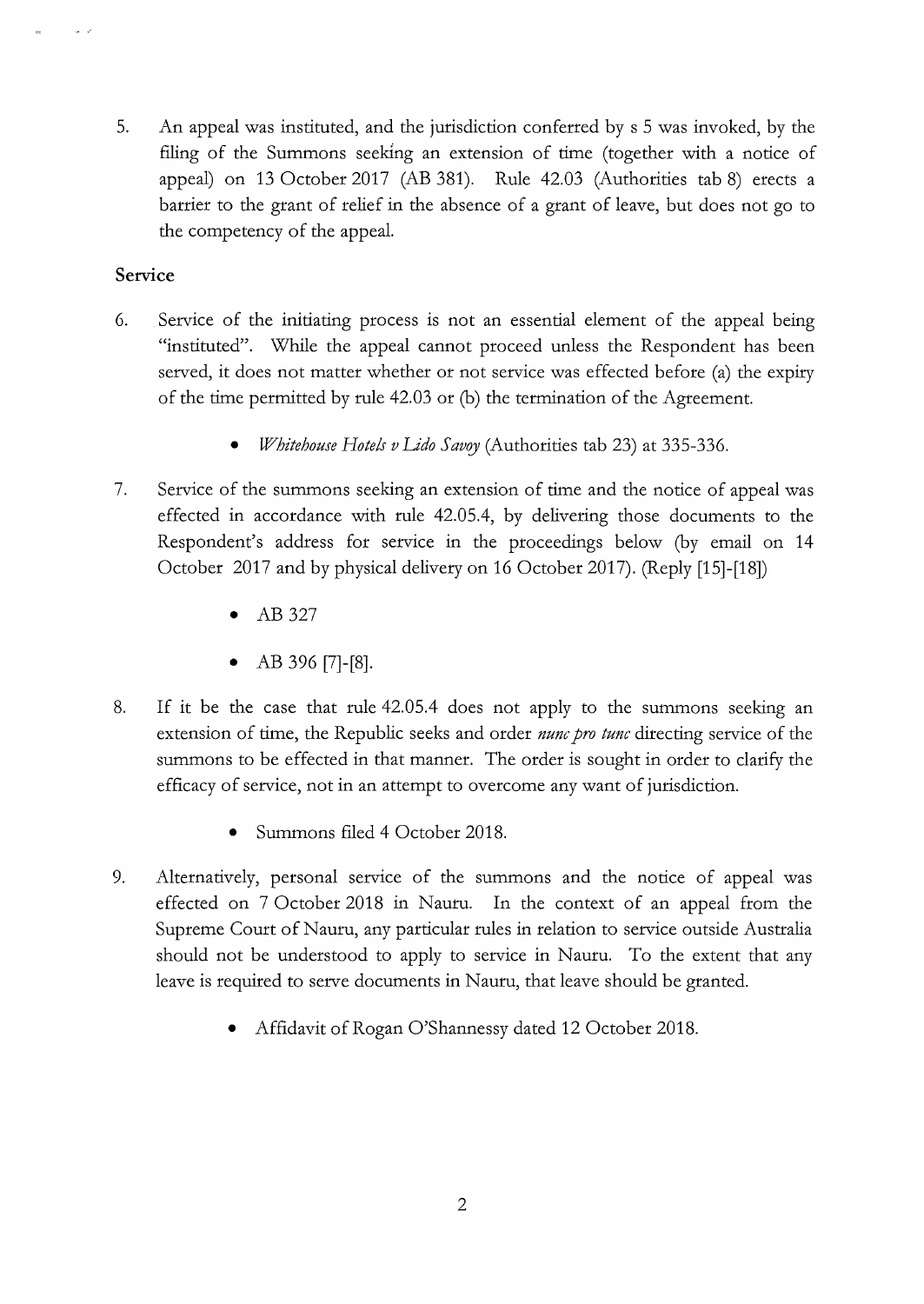5. An appeal was instituted, and the jurisdiction conferred by s 5 was invoked, by the filing of the Summons seeking an extension of time (together with a notice of appeal) on 13 October 2017 (AB 381). Rule 42.03 (Authorities tab 8) erects a barrier to the grant of relief in the absence of a grant of leave, but does not go to the competency of the appeal.

## **Service**

- 6. Service of the initiating process is not an essential element of the appeal being "instituted". While the appeal cannot proceed unless the Respondent has been served, it does not matter whether or not service was effected before (a) the expiry of the time permitted by rule 42.03 or (b) the termination of the Agreement.
	- *Whitehouse Hotels v Lido Savoy* (Authorities tab 23) at 335-336.
- 7. Service of the summons seeking an extension of time and the notice of appeal was effected in accordance with rule 42.05.4, by delivering those documents to the Respondent's address for service in the proceedings below (by email on 14 October 2017 and by physical delivery on 16 October 2017). (Reply [15]-[18])
	- AB 327
	- AB 396 [7]-[8].
- 8. If it be the case that rule 42.05.4 does not apply to the summons seeking an extension of time, the Republic seeks and order *nunc pro tunc* directing service of the summons to be effected in that manner. The order is sought in order to clarify the efficacy of service, not in an attempt to overcome any want of jurisdiction.
	- Summons filed 4 October 2018.
- 9. Alternatively, personal service of the summons and the notice of appeal was effected on 7 October 2018 in Nauru. In the context of an appeal from the Supreme Court of Nauru, any particular rules in relation to service outside Australia should not be understood to apply to service in Nauru. To the extent that any leave is required to serve documents in Nauru, that leave should be granted.
	- Affidavit of Rogan O'Shannessy dated 12 October 2018.